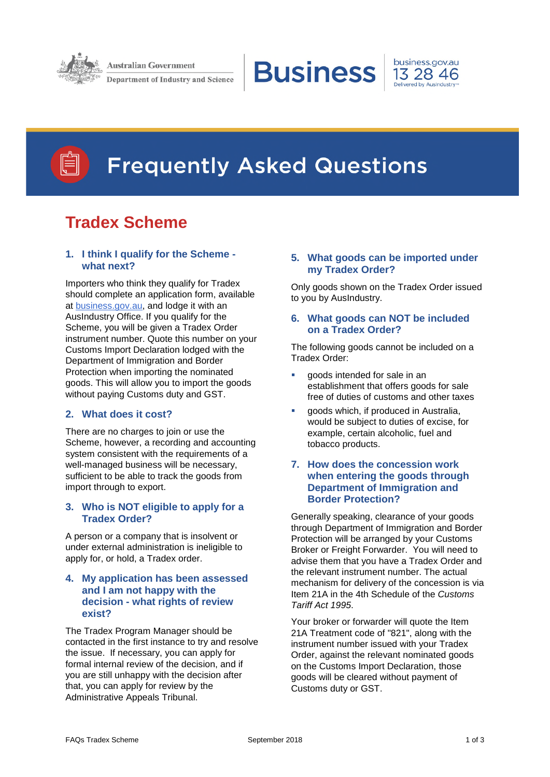

**Australian Government** 

**Department of Industry and Science** 

**Business** 





# **Frequently Asked Questions**

# **Tradex Scheme**

# **1. I think I qualify for the Scheme what next?**

Importers who think they qualify for Tradex should complete an application form, available at [business.gov.au,](https://www.business.gov.au/Grants-and-Programs/Tradex-Scheme) and lodge it with an AusIndustry Office. If you qualify for the Scheme, you will be given a Tradex Order instrument number. Quote this number on your Customs Import Declaration lodged with the Department of Immigration and Border Protection when importing the nominated goods. This will allow you to import the goods without paying Customs duty and GST.

# **2. What does it cost?**

There are no charges to join or use the Scheme, however, a recording and accounting system consistent with the requirements of a well-managed business will be necessary, sufficient to be able to track the goods from import through to export.

# **3. Who is NOT eligible to apply for a Tradex Order?**

A person or a company that is insolvent or under external administration is ineligible to apply for, or hold, a Tradex order.

# **4. My application has been assessed and I am not happy with the decision - what rights of review exist?**

The Tradex Program Manager should be contacted in the first instance to try and resolve the issue. If necessary, you can apply for formal internal review of the decision, and if you are still unhappy with the decision after that, you can apply for review by the Administrative Appeals Tribunal.

# **5. What goods can be imported under my Tradex Order?**

Only goods shown on the Tradex Order issued to you by AusIndustry.

# **6. What goods can NOT be included on a Tradex Order?**

The following goods cannot be included on a Tradex Order:

- goods intended for sale in an establishment that offers goods for sale free of duties of customs and other taxes
- **goods which, if produced in Australia,** would be subject to duties of excise, for example, certain alcoholic, fuel and tobacco products.

# **7. How does the concession work when entering the goods through Department of Immigration and Border Protection?**

Generally speaking, clearance of your goods through Department of Immigration and Border Protection will be arranged by your Customs Broker or Freight Forwarder. You will need to advise them that you have a Tradex Order and the relevant instrument number. The actual mechanism for delivery of the concession is via Item 21A in the 4th Schedule of the *Customs Tariff Act 1995*.

Your broker or forwarder will quote the Item 21A Treatment code of "821", along with the instrument number issued with your Tradex Order, against the relevant nominated goods on the Customs Import Declaration, those goods will be cleared without payment of Customs duty or GST.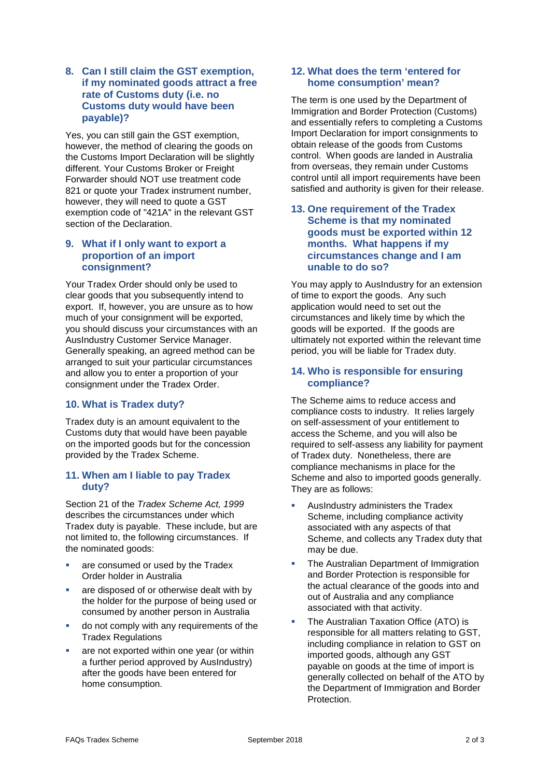# **8. Can I still claim the GST exemption, if my nominated goods attract a free rate of Customs duty (i.e. no Customs duty would have been payable)?**

Yes, you can still gain the GST exemption, however, the method of clearing the goods on the Customs Import Declaration will be slightly different. Your Customs Broker or Freight Forwarder should NOT use treatment code 821 or quote your Tradex instrument number, however, they will need to quote a GST exemption code of "421A" in the relevant GST section of the Declaration.

# **9. What if I only want to export a proportion of an import consignment?**

Your Tradex Order should only be used to clear goods that you subsequently intend to export. If, however, you are unsure as to how much of your consignment will be exported, you should discuss your circumstances with an AusIndustry Customer Service Manager. Generally speaking, an agreed method can be arranged to suit your particular circumstances and allow you to enter a proportion of your consignment under the Tradex Order.

# **10. What is Tradex duty?**

Tradex duty is an amount equivalent to the Customs duty that would have been payable on the imported goods but for the concession provided by the Tradex Scheme.

# **11. When am I liable to pay Tradex duty?**

Section 21 of the *Tradex Scheme Act, 1999* describes the circumstances under which Tradex duty is payable. These include, but are not limited to, the following circumstances. If the nominated goods:

- are consumed or used by the Tradex Order holder in Australia
- are disposed of or otherwise dealt with by the holder for the purpose of being used or consumed by another person in Australia
- **do not comply with any requirements of the** Tradex Regulations
- are not exported within one year (or within a further period approved by AusIndustry) after the goods have been entered for home consumption.

# **12. What does the term 'entered for home consumption' mean?**

The term is one used by the Department of Immigration and Border Protection (Customs) and essentially refers to completing a Customs Import Declaration for import consignments to obtain release of the goods from Customs control. When goods are landed in Australia from overseas, they remain under Customs control until all import requirements have been satisfied and authority is given for their release.

# **13. One requirement of the Tradex Scheme is that my nominated goods must be exported within 12 months. What happens if my circumstances change and I am unable to do so?**

You may apply to AusIndustry for an extension of time to export the goods. Any such application would need to set out the circumstances and likely time by which the goods will be exported. If the goods are ultimately not exported within the relevant time period, you will be liable for Tradex duty.

# **14. Who is responsible for ensuring compliance?**

The Scheme aims to reduce access and compliance costs to industry. It relies largely on self-assessment of your entitlement to access the Scheme, and you will also be required to self-assess any liability for payment of Tradex duty. Nonetheless, there are compliance mechanisms in place for the Scheme and also to imported goods generally. They are as follows:

- AusIndustry administers the Tradex Scheme, including compliance activity associated with any aspects of that Scheme, and collects any Tradex duty that may be due.
- **The Australian Department of Immigration** and Border Protection is responsible for the actual clearance of the goods into and out of Australia and any compliance associated with that activity.
- The Australian Taxation Office (ATO) is responsible for all matters relating to GST, including compliance in relation to GST on imported goods, although any GST payable on goods at the time of import is generally collected on behalf of the ATO by the Department of Immigration and Border Protection.